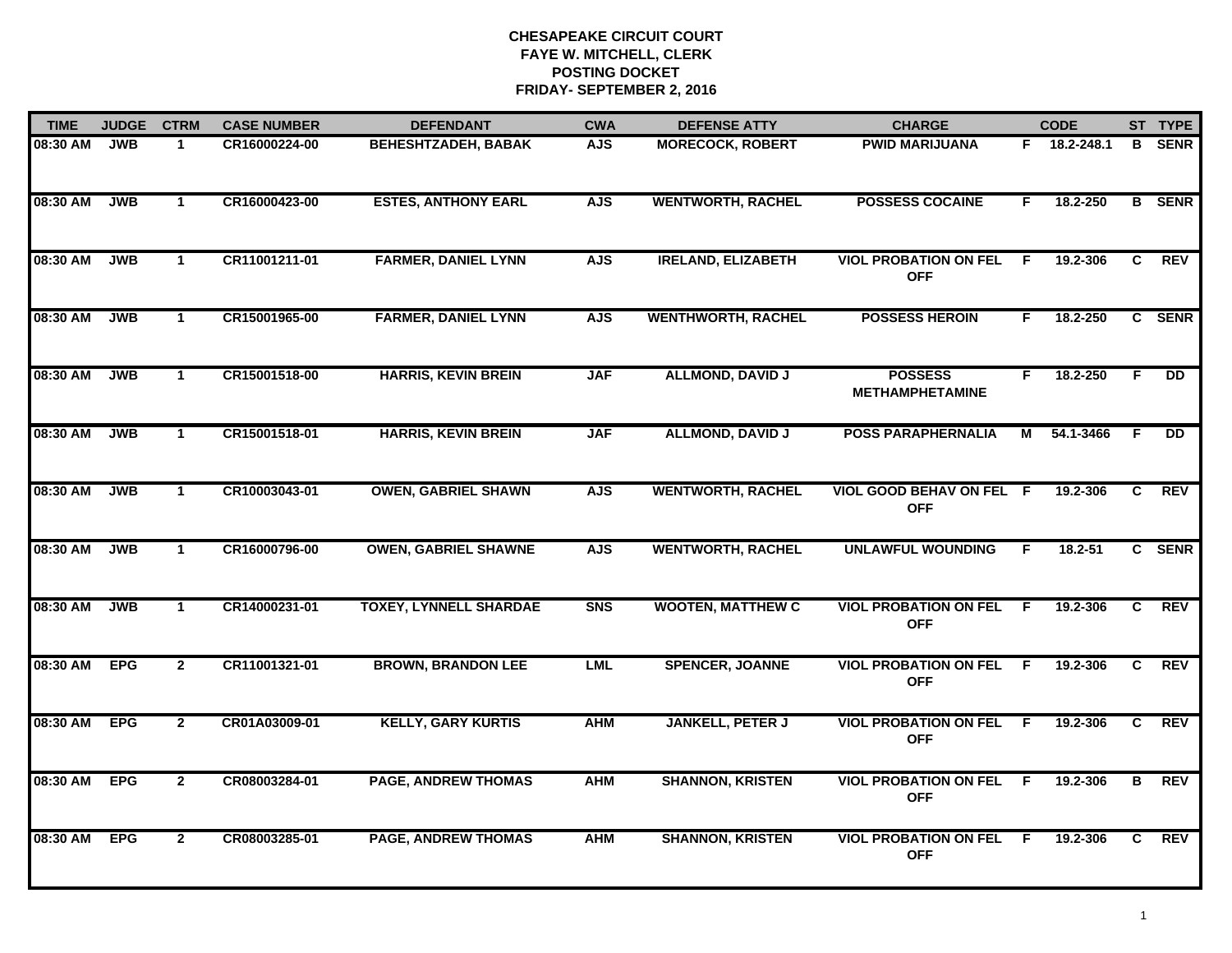| <b>TIME</b> | <b>JUDGE</b> | <b>CTRM</b>    | <b>CASE NUMBER</b> | <b>DEFENDANT</b>              | <b>CWA</b> | <b>DEFENSE ATTY</b>       | <b>CHARGE</b>                                 |     | <b>CODE</b>  |                | ST TYPE       |
|-------------|--------------|----------------|--------------------|-------------------------------|------------|---------------------------|-----------------------------------------------|-----|--------------|----------------|---------------|
| 08:30 AM    | <b>JWB</b>   | $\mathbf 1$    | CR16000224-00      | <b>BEHESHTZADEH, BABAK</b>    | <b>AJS</b> | <b>MORECOCK, ROBERT</b>   | <b>PWID MARIJUANA</b>                         |     | F 18.2-248.1 | B.             | <b>SENR</b>   |
| 08:30 AM    | <b>JWB</b>   | $\mathbf{1}$   | CR16000423-00      | <b>ESTES, ANTHONY EARL</b>    | <b>AJS</b> | <b>WENTWORTH, RACHEL</b>  | <b>POSSESS COCAINE</b>                        | F.  | 18.2-250     |                | <b>B</b> SENR |
| 08:30 AM    | <b>JWB</b>   | $\mathbf{1}$   | CR11001211-01      | <b>FARMER, DANIEL LYNN</b>    | <b>AJS</b> | <b>IRELAND, ELIZABETH</b> | <b>VIOL PROBATION ON FEL</b><br><b>OFF</b>    | F   | 19.2-306     | C              | <b>REV</b>    |
| 08:30 AM    | <b>JWB</b>   | $\mathbf 1$    | CR15001965-00      | <b>FARMER, DANIEL LYNN</b>    | <b>AJS</b> | <b>WENTHWORTH, RACHEL</b> | <b>POSSESS HEROIN</b>                         | F.  | 18.2-250     |                | C SENR        |
| 08:30 AM    | <b>JWB</b>   | $\mathbf{1}$   | CR15001518-00      | <b>HARRIS, KEVIN BREIN</b>    | <b>JAF</b> | <b>ALLMOND, DAVID J</b>   | <b>POSSESS</b><br><b>METHAMPHETAMINE</b>      | F.  | 18.2-250     | F.             | <b>DD</b>     |
| 08:30 AM    | <b>JWB</b>   | $\mathbf{1}$   | CR15001518-01      | <b>HARRIS, KEVIN BREIN</b>    | <b>JAF</b> | <b>ALLMOND, DAVID J</b>   | <b>POSS PARAPHERNALIA</b>                     | М   | 54.1-3466    | F.             | <b>DD</b>     |
| 08:30 AM    | <b>JWB</b>   | $\overline{1}$ | CR10003043-01      | <b>OWEN, GABRIEL SHAWN</b>    | <b>AJS</b> | <b>WENTWORTH, RACHEL</b>  | <b>VIOL GOOD BEHAV ON FEL F</b><br><b>OFF</b> |     | 19.2-306     | C              | <b>REV</b>    |
| 08:30 AM    | <b>JWB</b>   | $\mathbf{1}$   | CR16000796-00      | <b>OWEN, GABRIEL SHAWNE</b>   | <b>AJS</b> | <b>WENTWORTH, RACHEL</b>  | <b>UNLAWFUL WOUNDING</b>                      | F   | 18.2-51      |                | C SENR        |
| 08:30 AM    | <b>JWB</b>   | $\mathbf{1}$   | CR14000231-01      | <b>TOXEY, LYNNELL SHARDAE</b> | <b>SNS</b> | <b>WOOTEN, MATTHEW C</b>  | <b>VIOL PROBATION ON FEL</b><br><b>OFF</b>    | F   | 19.2-306     | C              | <b>REV</b>    |
| 08:30 AM    | <b>EPG</b>   | $\overline{2}$ | CR11001321-01      | <b>BROWN, BRANDON LEE</b>     | <b>LML</b> | <b>SPENCER, JOANNE</b>    | <b>VIOL PROBATION ON FEL</b><br><b>OFF</b>    | -F  | 19.2-306     | C.             | <b>REV</b>    |
| 08:30 AM    | <b>EPG</b>   | $\overline{2}$ | CR01A03009-01      | <b>KELLY, GARY KURTIS</b>     | <b>AHM</b> | <b>JANKELL, PETER J</b>   | <b>VIOL PROBATION ON FEL</b><br><b>OFF</b>    | -F. | 19.2-306     | C.             | REV           |
| 08:30 AM    | <b>EPG</b>   | $\overline{2}$ | CR08003284-01      | <b>PAGE, ANDREW THOMAS</b>    | <b>AHM</b> | <b>SHANNON, KRISTEN</b>   | <b>VIOL PROBATION ON FEL</b><br><b>OFF</b>    | E   | 19.2-306     | $\overline{B}$ | REV           |
| 08:30 AM    | <b>EPG</b>   | $\overline{2}$ | CR08003285-01      | <b>PAGE, ANDREW THOMAS</b>    | <b>AHM</b> | <b>SHANNON, KRISTEN</b>   | <b>VIOL PROBATION ON FEL</b><br><b>OFF</b>    | -F  | 19.2-306     | C.             | REV           |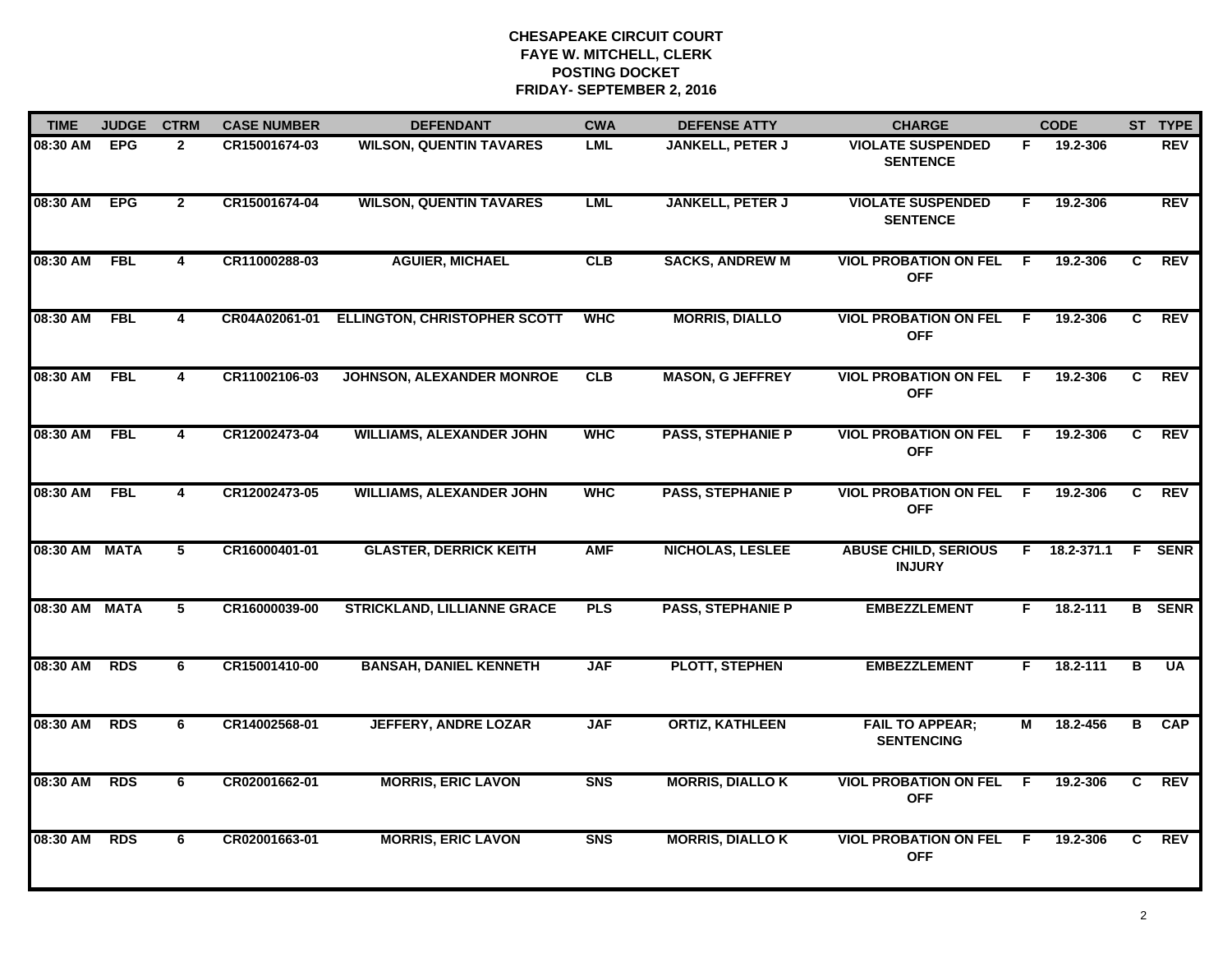| <b>TIME</b>   | <b>JUDGE</b> | <b>CTRM</b>             | <b>CASE NUMBER</b> | <b>DEFENDANT</b>                    | <b>CWA</b>     | <b>DEFENSE ATTY</b>      | <b>CHARGE</b>                                |     | <b>CODE</b>  |                | ST TYPE       |
|---------------|--------------|-------------------------|--------------------|-------------------------------------|----------------|--------------------------|----------------------------------------------|-----|--------------|----------------|---------------|
| 08:30 AM      | <b>EPG</b>   | $\overline{2}$          | CR15001674-03      | <b>WILSON, QUENTIN TAVARES</b>      | <b>LML</b>     | JANKELL, PETER J         | <b>VIOLATE SUSPENDED</b><br><b>SENTENCE</b>  | F.  | 19.2-306     |                | <b>REV</b>    |
| 08:30 AM      | <b>EPG</b>   | $\overline{2}$          | CR15001674-04      | <b>WILSON, QUENTIN TAVARES</b>      | <b>LML</b>     | <b>JANKELL, PETER J</b>  | <b>VIOLATE SUSPENDED</b><br><b>SENTENCE</b>  | F.  | 19.2-306     |                | <b>REV</b>    |
| 08:30 AM      | <b>FBL</b>   | $\overline{\mathbf{4}}$ | CR11000288-03      | <b>AGUIER, MICHAEL</b>              | CLB            | <b>SACKS, ANDREW M</b>   | <b>VIOL PROBATION ON FEL</b><br><b>OFF</b>   | F.  | 19.2-306     | C              | <b>REV</b>    |
| 08:30 AM      | <b>FBL</b>   | 4                       | CR04A02061-01      | <b>ELLINGTON, CHRISTOPHER SCOTT</b> | <b>WHC</b>     | <b>MORRIS, DIALLO</b>    | <b>VIOL PROBATION ON FEL</b><br><b>OFF</b>   | -F. | 19.2-306     | C.             | <b>REV</b>    |
| 08:30 AM      | <b>FBL</b>   | 4                       | CR11002106-03      | JOHNSON, ALEXANDER MONROE           | CLB            | <b>MASON, G JEFFREY</b>  | <b>VIOL PROBATION ON FEL</b><br><b>OFF</b>   | F.  | 19.2-306     | C.             | <b>REV</b>    |
| 08:30 AM      | <b>FBL</b>   | 4                       | CR12002473-04      | <b>WILLIAMS, ALEXANDER JOHN</b>     | <b>WHC</b>     | <b>PASS, STEPHANIE P</b> | <b>VIOL PROBATION ON FEL F</b><br><b>OFF</b> |     | 19.2-306     | C.             | REV           |
| 08:30 AM      | <b>FBL</b>   | $\overline{4}$          | CR12002473-05      | <b>WILLIAMS, ALEXANDER JOHN</b>     | <b>WHC</b>     | <b>PASS, STEPHANIE P</b> | <b>VIOL PROBATION ON FEL</b><br><b>OFF</b>   | F.  | 19.2-306     | C              | REV           |
| 08:30 AM MATA |              | $\overline{5}$          | CR16000401-01      | <b>GLASTER, DERRICK KEITH</b>       | <b>AMF</b>     | <b>NICHOLAS, LESLEE</b>  | <b>ABUSE CHILD, SERIOUS</b><br><b>INJURY</b> |     | F 18.2-371.1 |                | <b>F</b> SENR |
| 08:30 AM      | <b>MATA</b>  | 5                       | CR16000039-00      | <b>STRICKLAND, LILLIANNE GRACE</b>  | <b>PLS</b>     | <b>PASS, STEPHANIE P</b> | <b>EMBEZZLEMENT</b>                          | F.  | 18.2-111     |                | <b>B</b> SENR |
| 08:30 AM      | <b>RDS</b>   | 6                       | CR15001410-00      | <b>BANSAH, DANIEL KENNETH</b>       | <b>JAF</b>     | <b>PLOTT, STEPHEN</b>    | <b>EMBEZZLEMENT</b>                          | F.  | 18.2-111     | B              | <b>UA</b>     |
| 08:30 AM      | <b>RDS</b>   | 6                       | CR14002568-01      | <b>JEFFERY, ANDRE LOZAR</b>         | <b>JAF</b>     | <b>ORTIZ, KATHLEEN</b>   | <b>FAIL TO APPEAR;</b><br><b>SENTENCING</b>  | М   | 18.2-456     | B              | CAP           |
| 08:30 AM      | <b>RDS</b>   | 6                       | CR02001662-01      | <b>MORRIS, ERIC LAVON</b>           | S <sub>N</sub> | <b>MORRIS, DIALLO K</b>  | <b>VIOL PROBATION ON FEL</b><br><b>OFF</b>   | F.  | 19.2-306     | $\overline{c}$ | REV           |
| 08:30 AM      | <b>RDS</b>   | 6                       | CR02001663-01      | <b>MORRIS, ERIC LAVON</b>           | <b>SNS</b>     | <b>MORRIS, DIALLO K</b>  | <b>VIOL PROBATION ON FEL</b><br><b>OFF</b>   | F.  | 19.2-306     | C.             | <b>REV</b>    |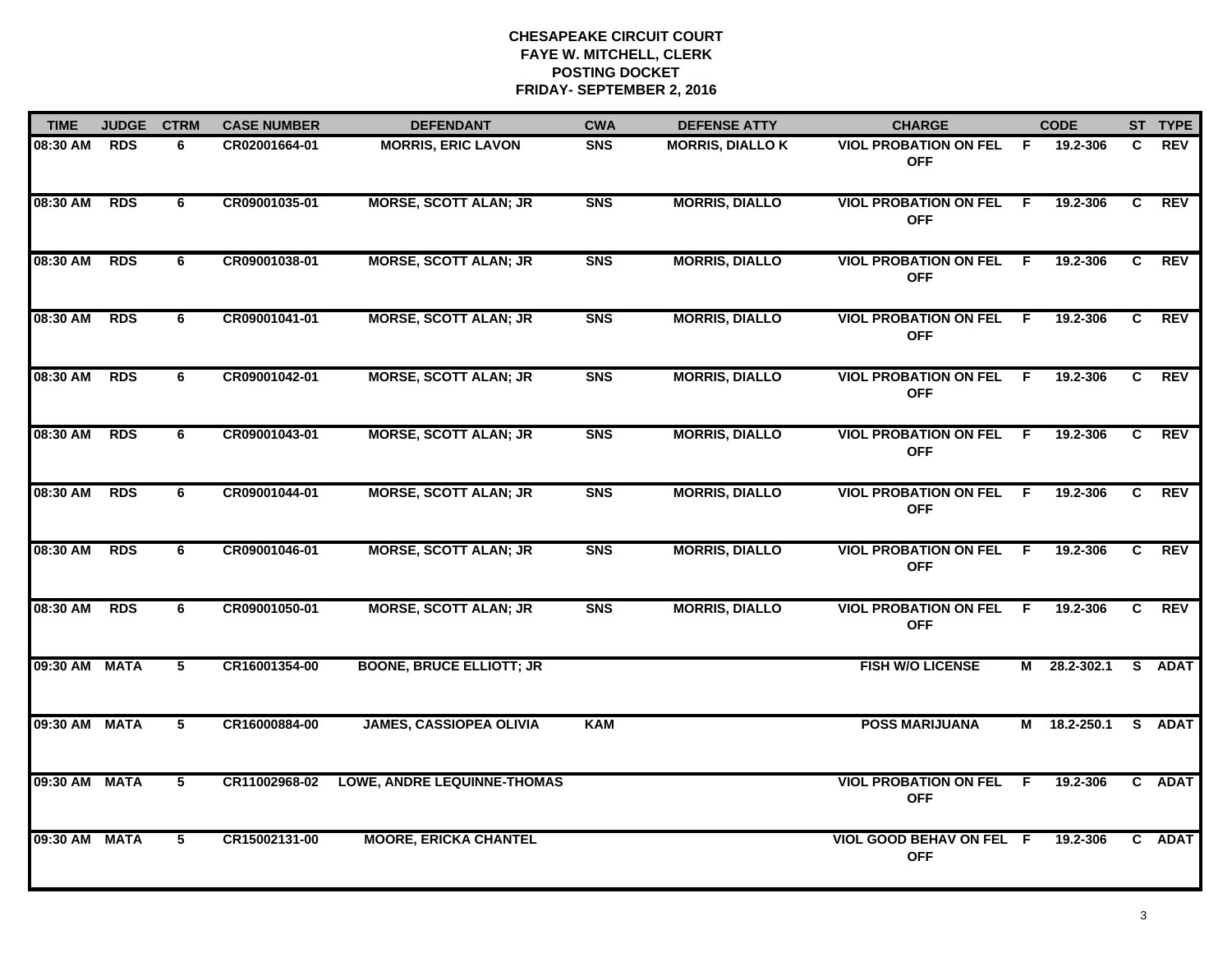| <b>TIME</b>   | <b>JUDGE</b> | <b>CTRM</b> | <b>CASE NUMBER</b> | <b>DEFENDANT</b>                   | <b>CWA</b> | <b>DEFENSE ATTY</b>     | <b>CHARGE</b>                                |     | <b>CODE</b>  |    | ST TYPE    |
|---------------|--------------|-------------|--------------------|------------------------------------|------------|-------------------------|----------------------------------------------|-----|--------------|----|------------|
| 08:30 AM      | <b>RDS</b>   | 6           | CR02001664-01      | <b>MORRIS, ERIC LAVON</b>          | <b>SNS</b> | <b>MORRIS, DIALLO K</b> | <b>VIOL PROBATION ON FEL</b><br><b>OFF</b>   | - F | 19.2-306     | C. | <b>REV</b> |
| 08:30 AM      | <b>RDS</b>   | 6           | CR09001035-01      | <b>MORSE, SCOTT ALAN; JR</b>       | <b>SNS</b> | <b>MORRIS, DIALLO</b>   | <b>VIOL PROBATION ON FEL F</b><br><b>OFF</b> |     | 19.2-306     | C  | <b>REV</b> |
| 08:30 AM      | <b>RDS</b>   | 6           | CR09001038-01      | <b>MORSE, SCOTT ALAN; JR</b>       | <b>SNS</b> | <b>MORRIS, DIALLO</b>   | <b>VIOL PROBATION ON FEL</b><br><b>OFF</b>   | - F | 19.2-306     | C  | <b>REV</b> |
| 08:30 AM      | <b>RDS</b>   | 6           | CR09001041-01      | <b>MORSE, SCOTT ALAN; JR</b>       | <b>SNS</b> | <b>MORRIS, DIALLO</b>   | <b>VIOL PROBATION ON FEL</b><br><b>OFF</b>   | - F | 19.2-306     | C. | <b>REV</b> |
| 08:30 AM      | <b>RDS</b>   | 6           | CR09001042-01      | <b>MORSE, SCOTT ALAN; JR</b>       | <b>SNS</b> | <b>MORRIS, DIALLO</b>   | <b>VIOL PROBATION ON FEL</b><br><b>OFF</b>   | F.  | 19.2-306     | C. | <b>REV</b> |
| 08:30 AM      | <b>RDS</b>   | 6           | CR09001043-01      | <b>MORSE, SCOTT ALAN; JR</b>       | <b>SNS</b> | <b>MORRIS, DIALLO</b>   | <b>VIOL PROBATION ON FEL F</b><br><b>OFF</b> |     | 19.2-306     | C. | <b>REV</b> |
| 08:30 AM      | <b>RDS</b>   | 6           | CR09001044-01      | <b>MORSE, SCOTT ALAN; JR</b>       | <b>SNS</b> | <b>MORRIS, DIALLO</b>   | <b>VIOL PROBATION ON FEL</b><br><b>OFF</b>   | -F. | 19.2-306     | C  | <b>REV</b> |
| 08:30 AM      | <b>RDS</b>   | 6           | CR09001046-01      | <b>MORSE, SCOTT ALAN; JR</b>       | <b>SNS</b> | <b>MORRIS, DIALLO</b>   | <b>VIOL PROBATION ON FEL</b><br><b>OFF</b>   | - F | 19.2-306     | C. | <b>REV</b> |
| 08:30 AM      | <b>RDS</b>   | 6           | CR09001050-01      | <b>MORSE, SCOTT ALAN; JR</b>       | <b>SNS</b> | <b>MORRIS, DIALLO</b>   | <b>VIOL PROBATION ON FEL</b><br><b>OFF</b>   | E   | 19.2-306     | C  | <b>REV</b> |
| 09:30 AM MATA |              | 5           | CR16001354-00      | <b>BOONE, BRUCE ELLIOTT; JR</b>    |            |                         | <b>FISH W/O LICENSE</b>                      |     | M 28.2-302.1 |    | S ADAT     |
| 09:30 AM MATA |              | 5           | CR16000884-00      | <b>JAMES, CASSIOPEA OLIVIA</b>     | <b>KAM</b> |                         | <b>POSS MARIJUANA</b>                        |     | M 18.2-250.1 |    | S ADAT     |
| 09:30 AM MATA |              | 5           | CR11002968-02      | <b>LOWE, ANDRE LEQUINNE-THOMAS</b> |            |                         | <b>VIOL PROBATION ON FEL</b><br><b>OFF</b>   | F.  | 19.2-306     |    | C ADAT     |
| 09:30 AM MATA |              | 5           | CR15002131-00      | <b>MOORE, ERICKA CHANTEL</b>       |            |                         | VIOL GOOD BEHAV ON FEL F<br><b>OFF</b>       |     | 19.2-306     |    | C ADAT     |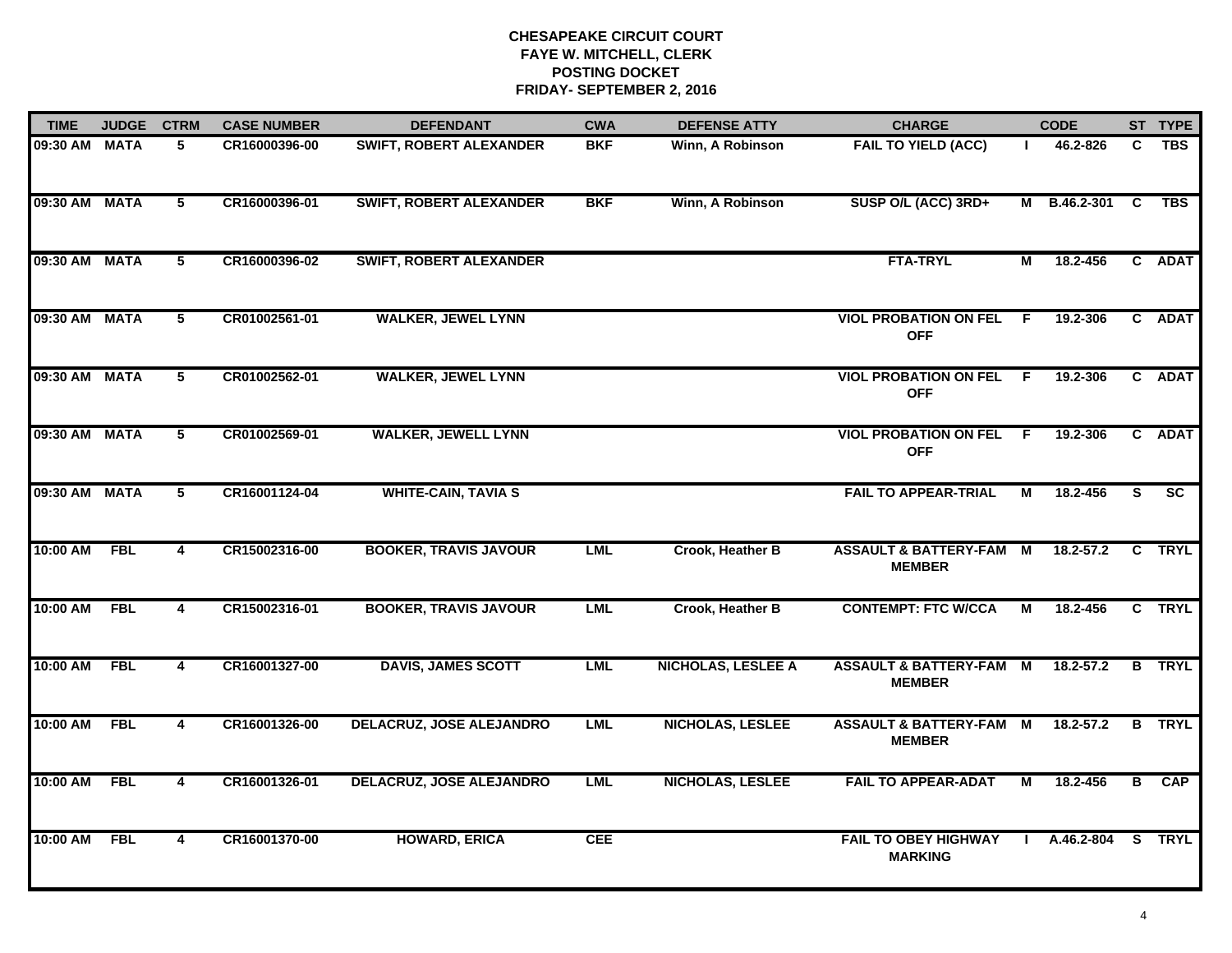| <b>TIME</b>   | <b>JUDGE</b> | <b>CTRM</b>    | <b>CASE NUMBER</b> | <b>DEFENDANT</b>                | <b>CWA</b> | <b>DEFENSE ATTY</b>       | <b>CHARGE</b>                                       |              | <b>CODE</b>   |                | ST TYPE                  |
|---------------|--------------|----------------|--------------------|---------------------------------|------------|---------------------------|-----------------------------------------------------|--------------|---------------|----------------|--------------------------|
| 09:30 AM      | <b>MATA</b>  | 5              | CR16000396-00      | <b>SWIFT, ROBERT ALEXANDER</b>  | <b>BKF</b> | Winn, A Robinson          | <b>FAIL TO YIELD (ACC)</b>                          |              | 46.2-826      | C              | <b>TBS</b>               |
| 09:30 AM MATA |              | 5              | CR16000396-01      | <b>SWIFT, ROBERT ALEXANDER</b>  | <b>BKF</b> | Winn, A Robinson          | SUSP O/L (ACC) 3RD+                                 |              | M B.46.2-301  | C              | <b>TBS</b>               |
| 09:30 AM      | <b>MATA</b>  | 5              | CR16000396-02      | <b>SWIFT, ROBERT ALEXANDER</b>  |            |                           | <b>FTA-TRYL</b>                                     | М            | 18.2-456      |                | C ADAT                   |
| 09:30 AM MATA |              | 5              | CR01002561-01      | <b>WALKER, JEWEL LYNN</b>       |            |                           | <b>VIOL PROBATION ON FEL</b><br><b>OFF</b>          | F.           | 19.2-306      |                | C ADAT                   |
| 09:30 AM MATA |              | 5              | CR01002562-01      | <b>WALKER, JEWEL LYNN</b>       |            |                           | <b>VIOL PROBATION ON FEL</b><br><b>OFF</b>          | F            | 19.2-306      |                | C ADAT                   |
| 09:30 AM MATA |              | 5              | CR01002569-01      | <b>WALKER, JEWELL LYNN</b>      |            |                           | <b>VIOL PROBATION ON FEL</b><br><b>OFF</b>          | -F           | 19.2-306      |                | C ADAT                   |
| 09:30 AM MATA |              | $\overline{5}$ | CR16001124-04      | <b>WHITE-CAIN, TAVIA S</b>      |            |                           | <b>FAIL TO APPEAR-TRIAL</b>                         | М            | 18.2-456      | S.             | $\overline{\mathsf{sc}}$ |
| 10:00 AM      | <b>FBL</b>   | 4              | CR15002316-00      | <b>BOOKER, TRAVIS JAVOUR</b>    | <b>LML</b> | Crook, Heather B          | <b>ASSAULT &amp; BATTERY-FAM M</b><br><b>MEMBER</b> |              | $18.2 - 57.2$ |                | C TRYL                   |
| 10:00 AM      | <b>FBL</b>   | 4              | CR15002316-01      | <b>BOOKER, TRAVIS JAVOUR</b>    | <b>LML</b> | <b>Crook, Heather B</b>   | <b>CONTEMPT: FTC W/CCA</b>                          | М            | 18.2-456      |                | C TRYL                   |
| 10:00 AM      | <b>FBL</b>   | 4              | CR16001327-00      | <b>DAVIS, JAMES SCOTT</b>       | <b>LML</b> | <b>NICHOLAS, LESLEE A</b> | <b>ASSAULT &amp; BATTERY-FAM</b><br><b>MEMBER</b>   | M            | $18.2 - 57.2$ |                | <b>B</b> TRYL            |
| 10:00 AM      | <b>FBL</b>   | 4              | CR16001326-00      | <b>DELACRUZ, JOSE ALEJANDRO</b> | <b>LML</b> | <b>NICHOLAS, LESLEE</b>   | <b>ASSAULT &amp; BATTERY-FAM M</b><br><b>MEMBER</b> |              | 18.2-57.2     | B              | <b>TRYL</b>              |
| 10:00 AM      | <b>FBL</b>   | 4              | CR16001326-01      | <b>DELACRUZ, JOSE ALEJANDRO</b> | <b>LML</b> | <b>NICHOLAS, LESLEE</b>   | <b>FAIL TO APPEAR-ADAT</b>                          | М            | 18.2-456      | $\overline{B}$ | CAP                      |
| 10:00 AM      | <b>FBL</b>   | $\overline{4}$ | CR16001370-00      | <b>HOWARD, ERICA</b>            | <b>CEE</b> |                           | <b>FAIL TO OBEY HIGHWAY</b><br><b>MARKING</b>       | $\mathbf{L}$ | A.46.2-804    |                | S TRYL                   |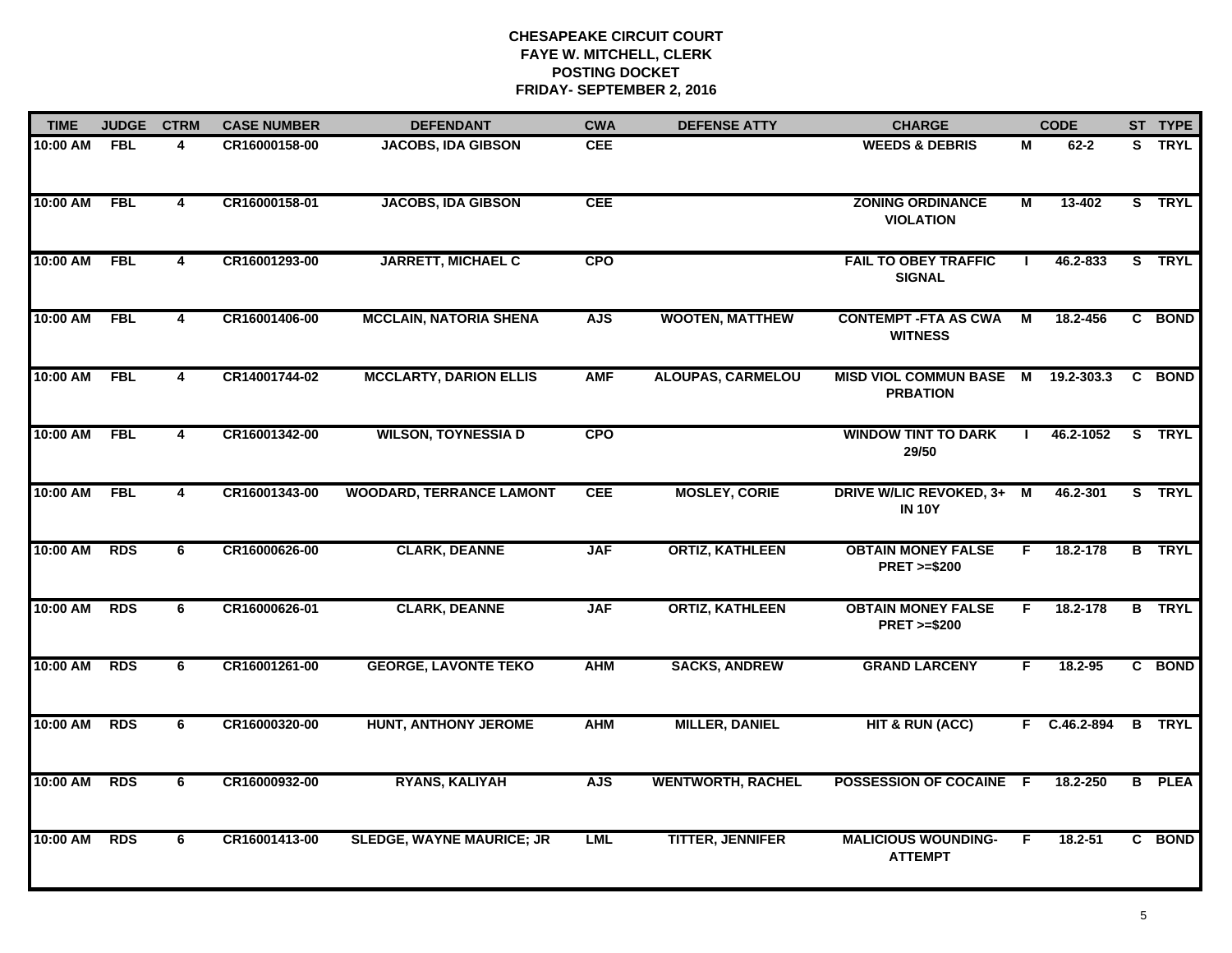| <b>TIME</b> | <b>JUDGE</b> | <b>CTRM</b>             | <b>CASE NUMBER</b> | <b>DEFENDANT</b>                 | <b>CWA</b> | <b>DEFENSE ATTY</b>      | <b>CHARGE</b>                                       |                | <b>CODE</b>  |                | ST TYPE       |
|-------------|--------------|-------------------------|--------------------|----------------------------------|------------|--------------------------|-----------------------------------------------------|----------------|--------------|----------------|---------------|
| 10:00 AM    | <b>FBL</b>   | 4                       | CR16000158-00      | <b>JACOBS, IDA GIBSON</b>        | <b>CEE</b> |                          | <b>WEEDS &amp; DEBRIS</b>                           | M              | $62 - 2$     |                | S TRYL        |
| 10:00 AM    | <b>FBL</b>   | $\overline{4}$          | CR16000158-01      | <b>JACOBS, IDA GIBSON</b>        | <b>CEE</b> |                          | <b>ZONING ORDINANCE</b><br><b>VIOLATION</b>         | $\overline{M}$ | 13-402       |                | S TRYL        |
| 10:00 AM    | <b>FBL</b>   | $\overline{\mathbf{4}}$ | CR16001293-00      | <b>JARRETT, MICHAEL C</b>        | <b>CPO</b> |                          | <b>FAIL TO OBEY TRAFFIC</b><br><b>SIGNAL</b>        |                | 46.2-833     |                | S TRYL        |
| 10:00 AM    | <b>FBL</b>   | 4                       | CR16001406-00      | <b>MCCLAIN, NATORIA SHENA</b>    | <b>AJS</b> | <b>WOOTEN, MATTHEW</b>   | <b>CONTEMPT - FTA AS CWA</b><br><b>WITNESS</b>      | М              | 18.2-456     |                | C BOND        |
| 10:00 AM    | <b>FBL</b>   | 4                       | CR14001744-02      | <b>MCCLARTY, DARION ELLIS</b>    | <b>AMF</b> | <b>ALOUPAS, CARMELOU</b> | <b>MISD VIOL COMMUN BASE M</b><br><b>PRBATION</b>   |                | 19.2-303.3   |                | C BOND        |
| 10:00 AM    | <b>FBL</b>   | $\overline{4}$          | CR16001342-00      | <b>WILSON, TOYNESSIA D</b>       | <b>CPO</b> |                          | <b>WINDOW TINT TO DARK</b><br>29/50                 |                | 46.2-1052    |                | S TRYL        |
| 10:00 AM    | <b>FBL</b>   | $\overline{4}$          | CR16001343-00      | <b>WOODARD, TERRANCE LAMONT</b>  | <b>CEE</b> | <b>MOSLEY, CORIE</b>     | DRIVE W/LIC REVOKED, 3+ M<br><b>IN 10Y</b>          |                | 46.2-301     |                | S TRYL        |
| 10:00 AM    | <b>RDS</b>   | 6                       | CR16000626-00      | <b>CLARK, DEANNE</b>             | <b>JAF</b> | <b>ORTIZ, KATHLEEN</b>   | <b>OBTAIN MONEY FALSE</b><br><b>PRET &gt;=\$200</b> | F              | 18.2-178     |                | <b>B</b> TRYL |
| 10:00 AM    | <b>RDS</b>   | 6                       | CR16000626-01      | <b>CLARK, DEANNE</b>             | <b>JAF</b> | <b>ORTIZ, KATHLEEN</b>   | <b>OBTAIN MONEY FALSE</b><br><b>PRET &gt;=\$200</b> | F.             | 18.2-178     |                | <b>B</b> TRYL |
| 10:00 AM    | <b>RDS</b>   | 6                       | CR16001261-00      | <b>GEORGE, LAVONTE TEKO</b>      | <b>AHM</b> | <b>SACKS, ANDREW</b>     | <b>GRAND LARCENY</b>                                | F.             | $18.2 - 95$  |                | C BOND        |
| 10:00 AM    | <b>RDS</b>   | 6                       | CR16000320-00      | <b>HUNT, ANTHONY JEROME</b>      | <b>AHM</b> | <b>MILLER, DANIEL</b>    | <b>HIT &amp; RUN (ACC)</b>                          |                | F C.46.2-894 |                | <b>B</b> TRYL |
| 10:00 AM    | <b>RDS</b>   | $\overline{6}$          | CR16000932-00      | <b>RYANS, KALIYAH</b>            | <b>AJS</b> | <b>WENTWORTH, RACHEL</b> | POSSESSION OF COCAINE F                             |                | 18.2-250     | $\overline{B}$ | <b>PLEA</b>   |
| 10:00 AM    | <b>RDS</b>   | 6                       | CR16001413-00      | <b>SLEDGE, WAYNE MAURICE; JR</b> | <b>LML</b> | <b>TITTER, JENNIFER</b>  | <b>MALICIOUS WOUNDING-</b><br><b>ATTEMPT</b>        | F              | $18.2 - 51$  |                | C BOND        |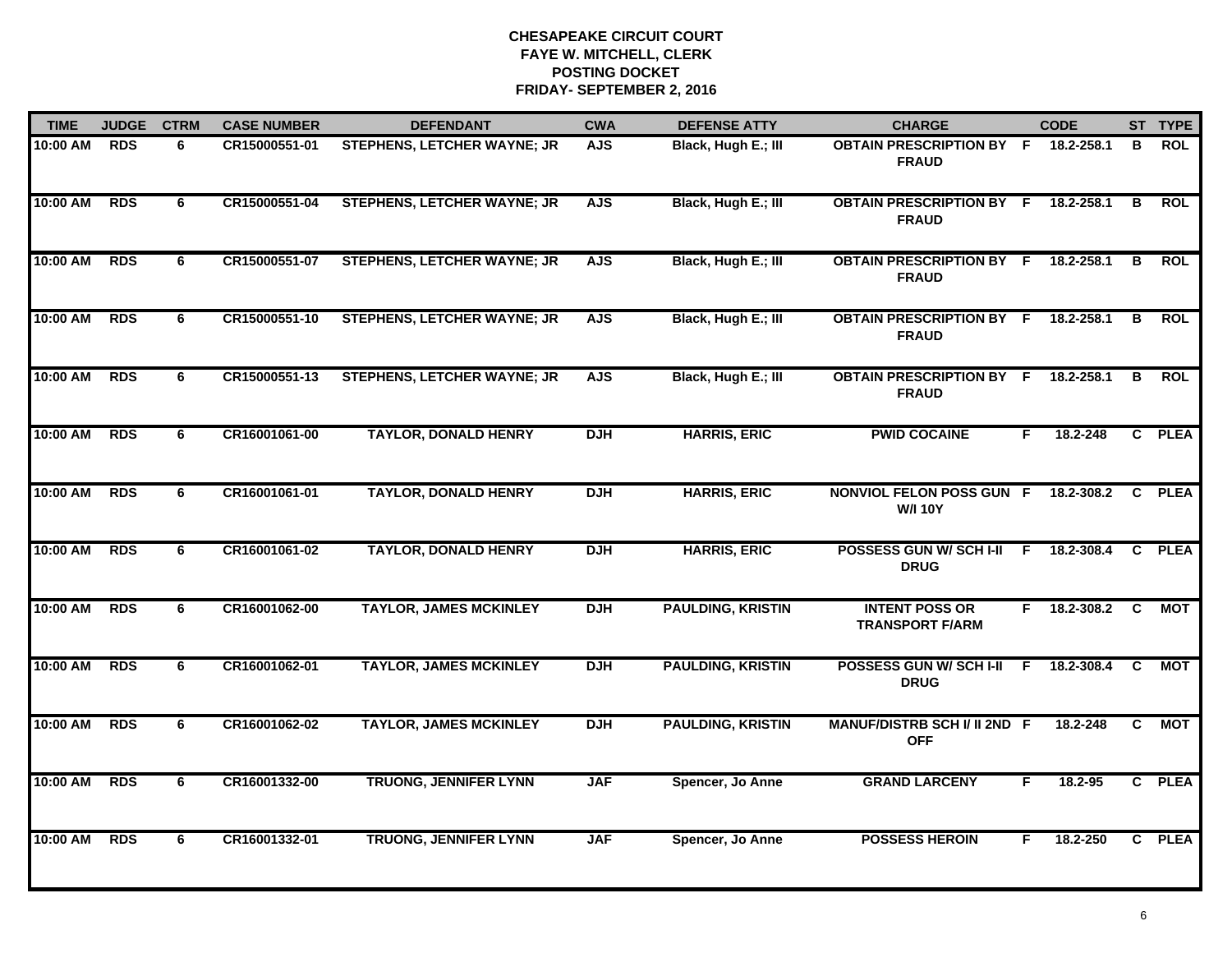| <b>TIME</b> | <b>JUDGE</b> | <b>CTRM</b> | <b>CASE NUMBER</b> | <b>DEFENDANT</b>                   | <b>CWA</b> | <b>DEFENSE ATTY</b>      | <b>CHARGE</b>                                       |    | <b>CODE</b> |              | ST TYPE     |
|-------------|--------------|-------------|--------------------|------------------------------------|------------|--------------------------|-----------------------------------------------------|----|-------------|--------------|-------------|
| 10:00 AM    | <b>RDS</b>   | 6           | CR15000551-01      | STEPHENS, LETCHER WAYNE; JR        | <b>AJS</b> | Black, Hugh E.; III      | <b>OBTAIN PRESCRIPTION BY F</b><br><b>FRAUD</b>     |    | 18.2-258.1  | в            | <b>ROL</b>  |
| 10:00 AM    | <b>RDS</b>   | 6           | CR15000551-04      | <b>STEPHENS, LETCHER WAYNE; JR</b> | <b>AJS</b> | Black, Hugh E.; III      | <b>OBTAIN PRESCRIPTION BY F</b><br><b>FRAUD</b>     |    | 18.2-258.1  | B            | <b>ROL</b>  |
| 10:00 AM    | <b>RDS</b>   | 6           | CR15000551-07      | <b>STEPHENS, LETCHER WAYNE; JR</b> | <b>AJS</b> | Black, Hugh E.; III      | <b>OBTAIN PRESCRIPTION BY F</b><br><b>FRAUD</b>     |    | 18.2-258.1  | B            | <b>ROL</b>  |
| 10:00 AM    | <b>RDS</b>   | 6           | CR15000551-10      | STEPHENS, LETCHER WAYNE; JR        | <b>AJS</b> | Black, Hugh E.; III      | <b>OBTAIN PRESCRIPTION BY F</b><br><b>FRAUD</b>     |    | 18.2-258.1  | в            | <b>ROL</b>  |
| 10:00 AM    | <b>RDS</b>   | 6           | CR15000551-13      | STEPHENS, LETCHER WAYNE; JR        | <b>AJS</b> | Black, Hugh E.; III      | OBTAIN PRESCRIPTION BY F 18.2-258.1<br><b>FRAUD</b> |    |             | B            | <b>ROL</b>  |
| 10:00 AM    | <b>RDS</b>   | 6           | CR16001061-00      | <b>TAYLOR, DONALD HENRY</b>        | <b>DJH</b> | <b>HARRIS, ERIC</b>      | <b>PWID COCAINE</b>                                 | F  | 18.2-248    |              | C PLEA      |
| 10:00 AM    | <b>RDS</b>   | 6           | CR16001061-01      | <b>TAYLOR, DONALD HENRY</b>        | <b>DJH</b> | <b>HARRIS, ERIC</b>      | <b>NONVIOL FELON POSS GUN F</b><br><b>W/I 10Y</b>   |    | 18.2-308.2  | <b>C</b>     | <b>PLEA</b> |
| 10:00 AM    | <b>RDS</b>   | 6           | CR16001061-02      | <b>TAYLOR, DONALD HENRY</b>        | <b>DJH</b> | <b>HARRIS, ERIC</b>      | POSSESS GUN W/ SCH I-II<br><b>DRUG</b>              | F. | 18.2-308.4  | $\mathbf{c}$ | <b>PLEA</b> |
| 10:00 AM    | <b>RDS</b>   | 6           | CR16001062-00      | <b>TAYLOR, JAMES MCKINLEY</b>      | <b>DJH</b> | <b>PAULDING, KRISTIN</b> | <b>INTENT POSS OR</b><br><b>TRANSPORT F/ARM</b>     | F. | 18.2-308.2  | <b>C</b>     | MOT         |
| 10:00 AM    | <b>RDS</b>   | 6           | CR16001062-01      | <b>TAYLOR, JAMES MCKINLEY</b>      | <b>DJH</b> | <b>PAULDING, KRISTIN</b> | POSSESS GUN W/SCHI-II F 18.2-308.4<br><b>DRUG</b>   |    |             | <b>C</b>     | MOT         |
| 10:00 AM    | <b>RDS</b>   | 6           | CR16001062-02      | <b>TAYLOR, JAMES MCKINLEY</b>      | <b>DJH</b> | <b>PAULDING, KRISTIN</b> | MANUF/DISTRB SCH I/ II 2ND F<br><b>OFF</b>          |    | 18.2-248    | C.           | <b>MOT</b>  |
| 10:00 AM    | <b>RDS</b>   | 6           | CR16001332-00      | <b>TRUONG, JENNIFER LYNN</b>       | <b>JAF</b> | Spencer, Jo Anne         | <b>GRAND LARCENY</b>                                | F  | 18.2-95     | $\mathbf{c}$ | <b>PLEA</b> |
| 10:00 AM    | <b>RDS</b>   | 6           | CR16001332-01      | <b>TRUONG, JENNIFER LYNN</b>       | <b>JAF</b> | Spencer, Jo Anne         | <b>POSSESS HEROIN</b>                               | F  | 18.2-250    | $\mathbf{c}$ | <b>PLEA</b> |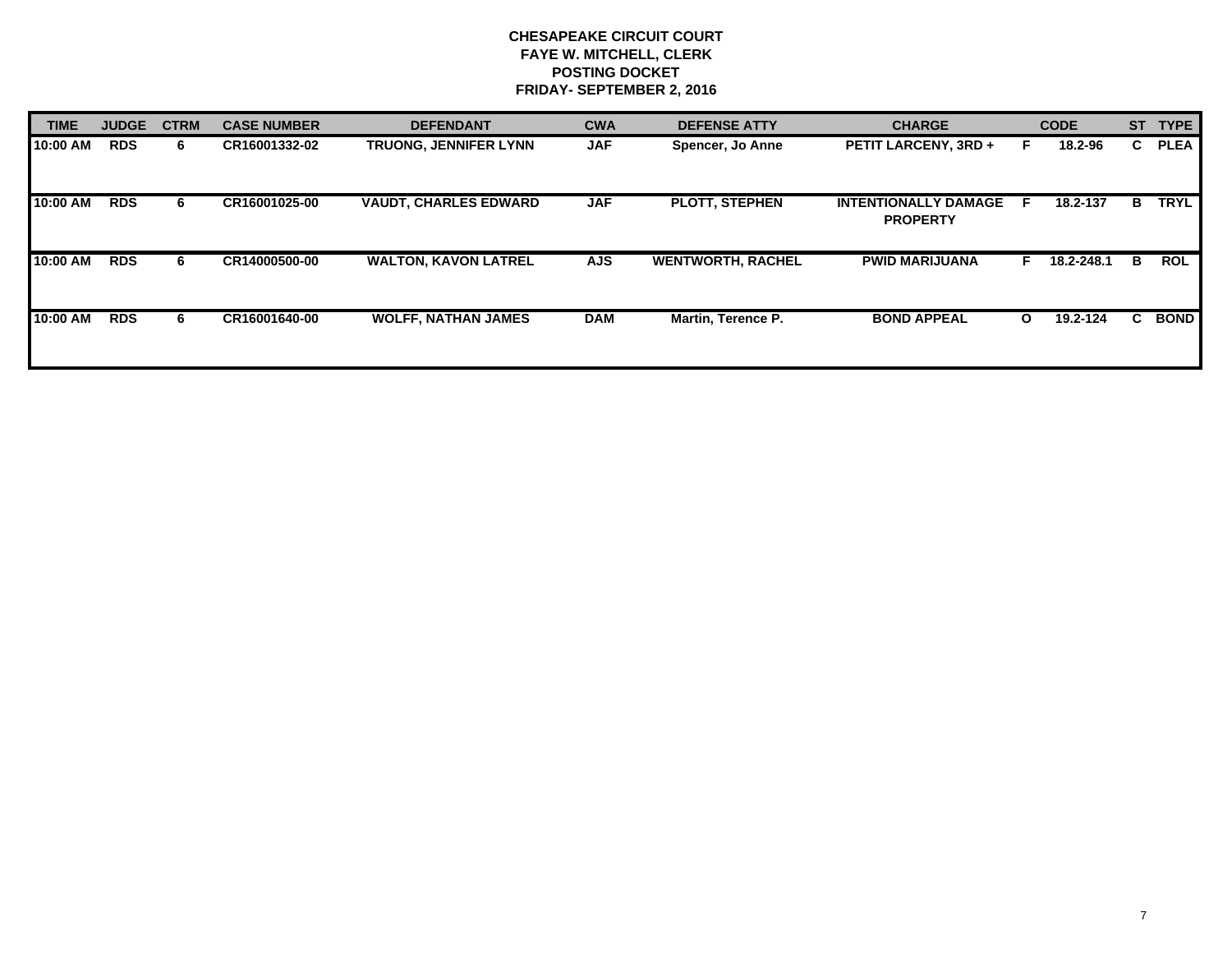| <b>TIME</b> | <b>JUDGE</b> | <b>CTRM</b> | <b>CASE NUMBER</b> | <b>DEFENDANT</b>             | <b>CWA</b> | <b>DEFENSE ATTY</b>      | <b>CHARGE</b>                                  |              | <b>CODE</b> | <b>ST</b> | <b>TYPE</b> |
|-------------|--------------|-------------|--------------------|------------------------------|------------|--------------------------|------------------------------------------------|--------------|-------------|-----------|-------------|
| 10:00 AM    | <b>RDS</b>   | 6.          | CR16001332-02      | TRUONG, JENNIFER LYNN        | <b>JAF</b> | Spencer, Jo Anne         | <b>PETIT LARCENY, 3RD +</b>                    |              | 18.2-96     | C.        | <b>PLEA</b> |
| 10:00 AM    | <b>RDS</b>   | 6           | CR16001025-00      | <b>VAUDT, CHARLES EDWARD</b> | <b>JAF</b> | <b>PLOTT, STEPHEN</b>    | <b>INTENTIONALLY DAMAGE</b><br><b>PROPERTY</b> | -F.          | 18.2-137    | в         | <b>TRYL</b> |
| 10:00 AM    | <b>RDS</b>   | 6.          | CR14000500-00      | <b>WALTON, KAVON LATREL</b>  | <b>AJS</b> | <b>WENTWORTH, RACHEL</b> | <b>PWID MARIJUANA</b>                          |              | 18.2-248.1  | в         | <b>ROL</b>  |
| 10:00 AM    | <b>RDS</b>   | 6           | CR16001640-00      | <b>WOLFF, NATHAN JAMES</b>   | <b>DAM</b> | Martin, Terence P.       | <b>BOND APPEAL</b>                             | $\mathbf{o}$ | 19.2-124    | C.        | <b>BOND</b> |